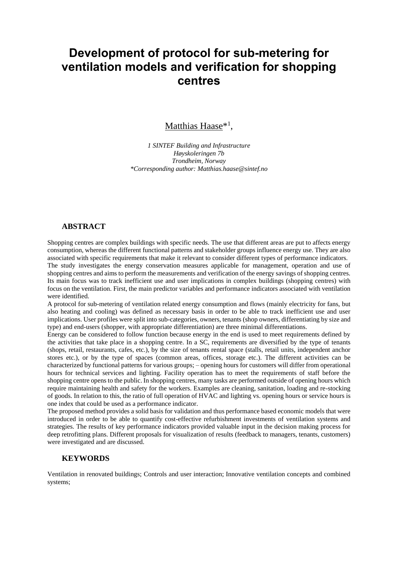# **Development of protocol for sub-metering for ventilation models and verification for shopping centres**

# Matthias Haase<sup>\*1</sup>,

*1 SINTEF Building and Infrastructure Høyskoleringen 7b Trondheim, Norway \*Corresponding author: Matthias.haase@sintef.no*

#### **ABSTRACT**

Shopping centres are complex buildings with specific needs. The use that different areas are put to affects energy consumption, whereas the different functional patterns and stakeholder groups influence energy use. They are also associated with specific requirements that make it relevant to consider different types of performance indicators. The study investigates the energy conservation measures applicable for management, operation and use of shopping centres and aims to perform the measurements and verification of the energy savings of shopping centres. Its main focus was to track inefficient use and user implications in complex buildings (shopping centres) with focus on the ventilation. First, the main predictor variables and performance indicators associated with ventilation were identified.

A protocol for sub-metering of ventilation related energy consumption and flows (mainly electricity for fans, but also heating and cooling) was defined as necessary basis in order to be able to track inefficient use and user implications. User profiles were split into sub-categories, owners, tenants (shop owners, differentiating by size and type) and end-users (shopper, with appropriate differentiation) are three minimal differentiations.

Energy can be considered to follow function because energy in the end is used to meet requirements defined by the activities that take place in a shopping centre. In a SC, requirements are diversified by the type of tenants (shops, retail, restaurants, cafes, etc.), by the size of tenants rental space (stalls, retail units, independent anchor stores etc.), or by the type of spaces (common areas, offices, storage etc.). The different activities can be characterized by functional patterns for various groups; – opening hours for customers will differ from operational hours for technical services and lighting. Facility operation has to meet the requirements of staff before the shopping centre opens to the public. In shopping centres, many tasks are performed outside of opening hours which require maintaining health and safety for the workers. Examples are cleaning, sanitation, loading and re-stocking of goods. In relation to this, the ratio of full operation of HVAC and lighting vs. opening hours or service hours is one index that could be used as a performance indicator.

The proposed method provides a solid basis for validation and thus performance based economic models that were introduced in order to be able to quantify cost-effective refurbishment investments of ventilation systems and strategies. The results of key performance indicators provided valuable input in the decision making process for deep retrofitting plans. Different proposals for visualization of results (feedback to managers, tenants, customers) were investigated and are discussed.

#### **KEYWORDS**

Ventilation in renovated buildings; Controls and user interaction; Innovative ventilation concepts and combined systems;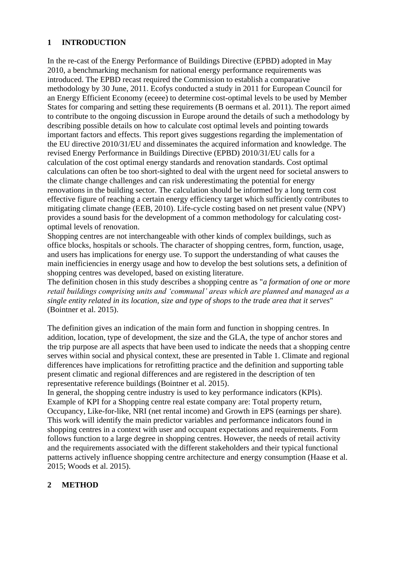# **1 INTRODUCTION**

In the re-cast of the Energy Performance of Buildings Directive (EPBD) adopted in May 2010, a benchmarking mechanism for national energy performance requirements was introduced. The EPBD recast required the Commission to establish a comparative methodology by 30 June, 2011. Ecofys conducted a study in 2011 for European Council for an Energy Efficient Economy (eceee) to determine cost-optimal levels to be used by Member States for comparing and setting these requirements (B oermans et al. 2011). The report aimed to contribute to the ongoing discussion in Europe around the details of such a methodology by describing possible details on how to calculate cost optimal levels and pointing towards important factors and effects. This report gives suggestions regarding the implementation of the EU directive 2010/31/EU and disseminates the acquired information and knowledge. The revised Energy Performance in Buildings Directive (EPBD) 2010/31/EU calls for a calculation of the cost optimal energy standards and renovation standards. Cost optimal calculations can often be too short-sighted to deal with the urgent need for societal answers to the climate change challenges and can risk underestimating the potential for energy renovations in the building sector. The calculation should be informed by a long term cost effective figure of reaching a certain energy efficiency target which sufficiently contributes to mitigating climate change (EEB, 2010). Life-cycle costing based on net present value (NPV) provides a sound basis for the development of a common methodology for calculating costoptimal levels of renovation.

Shopping centres are not interchangeable with other kinds of complex buildings, such as office blocks, hospitals or schools. The character of shopping centres, form, function, usage, and users has implications for energy use. To support the understanding of what causes the main inefficiencies in energy usage and how to develop the best solutions sets, a definition of shopping centres was developed, based on existing literature.

The definition chosen in this study describes a shopping centre as "*a formation of one or more retail buildings comprising units and 'communal' areas which are planned and managed as a single entity related in its location, size and type of shops to the trade area that it serves*" (Bointner et al. 2015).

The definition gives an indication of the main form and function in shopping centres. In addition, location, type of development, the size and the GLA, the type of anchor stores and the trip purpose are all aspects that have been used to indicate the needs that a shopping centre serves within social and physical context, these are presented in Table 1. Climate and regional differences have implications for retrofitting practice and the definition and supporting table present climatic and regional differences and are registered in the description of ten representative reference buildings (Bointner et al. 2015).

In general, the shopping centre industry is used to key performance indicators (KPIs). Example of KPI for a Shopping centre real estate company are: Total property return, Occupancy, Like-for-like, NRI (net rental income) and Growth in EPS (earnings per share). This work will identify the main predictor variables and performance indicators found in shopping centres in a context with user and occupant expectations and requirements. Form follows function to a large degree in shopping centres. However, the needs of retail activity and the requirements associated with the different stakeholders and their typical functional patterns actively influence shopping centre architecture and energy consumption (Haase et al. 2015; Woods et al. 2015).

# **2 METHOD**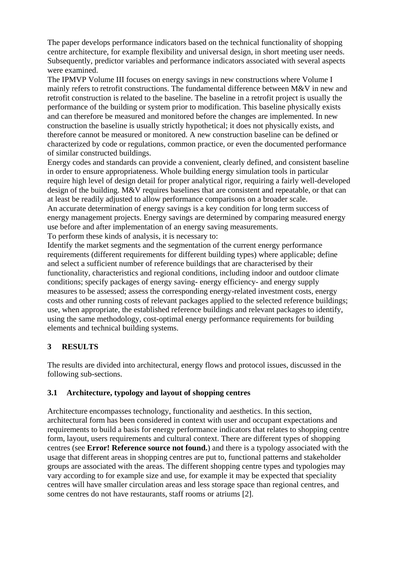The paper develops performance indicators based on the technical functionality of shopping centre architecture, for example flexibility and universal design, in short meeting user needs. Subsequently, predictor variables and performance indicators associated with several aspects were examined.

The IPMVP Volume III focuses on energy savings in new constructions where Volume I mainly refers to retrofit constructions. The fundamental difference between M&V in new and retrofit construction is related to the baseline. The baseline in a retrofit project is usually the performance of the building or system prior to modification. This baseline physically exists and can therefore be measured and monitored before the changes are implemented. In new construction the baseline is usually strictly hypothetical; it does not physically exists, and therefore cannot be measured or monitored. A new construction baseline can be defined or characterized by code or regulations, common practice, or even the documented performance of similar constructed buildings.

Energy codes and standards can provide a convenient, clearly defined, and consistent baseline in order to ensure appropriateness. Whole building energy simulation tools in particular require high level of design detail for proper analytical rigor, requiring a fairly well-developed design of the building. M&V requires baselines that are consistent and repeatable, or that can at least be readily adjusted to allow performance comparisons on a broader scale. An accurate determination of energy savings is a key condition for long term success of

energy management projects. Energy savings are determined by comparing measured energy use before and after implementation of an energy saving measurements.

To perform these kinds of analysis, it is necessary to:

Identify the market segments and the segmentation of the current energy performance requirements (different requirements for different building types) where applicable; define and select a sufficient number of reference buildings that are characterised by their functionality, characteristics and regional conditions, including indoor and outdoor climate conditions; specify packages of energy saving- energy efficiency- and energy supply measures to be assessed; assess the corresponding energy-related investment costs, energy costs and other running costs of relevant packages applied to the selected reference buildings; use, when appropriate, the established reference buildings and relevant packages to identify, using the same methodology, cost-optimal energy performance requirements for building elements and technical building systems.

#### **3 RESULTS**

The results are divided into architectural, energy flows and protocol issues, discussed in the following sub-sections.

#### **3.1 Architecture, typology and layout of shopping centres**

Architecture encompasses technology, functionality and aesthetics. In this section, architectural form has been considered in context with user and occupant expectations and requirements to build a basis for energy performance indicators that relates to shopping centre form, layout, users requirements and cultural context. There are different types of shopping centres (see **Error! Reference source not found.**) and there is a typology associated with the usage that different areas in shopping centres are put to, functional patterns and stakeholder groups are associated with the areas. The different shopping centre types and typologies may vary according to for example size and use, for example it may be expected that speciality centres will have smaller circulation areas and less storage space than regional centres, and some centres do not have restaurants, staff rooms or atriums [2].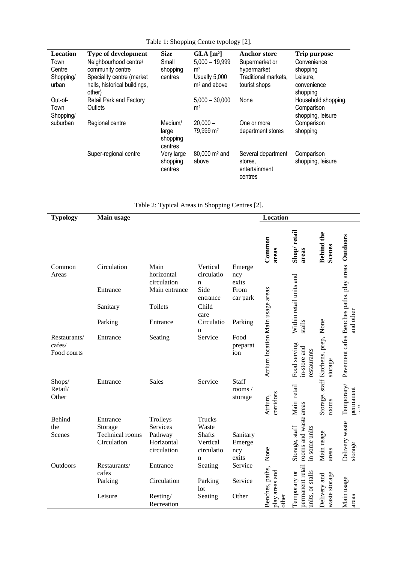| Location          | <b>Type of development</b>             | <b>Size</b>                             | GLA [m <sup>2</sup> ]               | <b>Anchor store</b>                                       | Trip purpose                    |
|-------------------|----------------------------------------|-----------------------------------------|-------------------------------------|-----------------------------------------------------------|---------------------------------|
| Town              | Neighbourhood centre/                  | Small                                   | $5,000 - 19,999$                    | Supermarket or                                            | Convenience                     |
| Centre            | community centre                       | shopping                                | m <sup>2</sup>                      | hypermarket                                               | shopping                        |
| Shopping/         | Speciality centre (market              | centres                                 | Usually 5,000                       | Traditional markets,                                      | Leisure,                        |
| urban             | halls, historical buildings,<br>other) |                                         | $m2$ and above                      | tourist shops                                             | convenience<br>shopping         |
| Out-of-           | Retail Park and Factory                |                                         | $5,000 - 30,000$                    | None                                                      | Household shopping,             |
| Town<br>Shopping/ | Outlets                                |                                         | m <sup>2</sup>                      |                                                           | Comparison<br>shopping, leisure |
| suburban          | Regional centre                        | Medium/<br>large<br>shopping<br>centres | $20,000 -$<br>79,999 m <sup>2</sup> | One or more<br>department stores                          | Comparison<br>shopping          |
|                   | Super-regional centre                  | Very large<br>shopping<br>centres       | $80,000 \text{ m}^2$ and<br>above   | Several department<br>stores.<br>entertainment<br>centres | Comparison<br>shopping, leisure |

Table 1: Shopping Centre typology [2].

|  | Table 2: Typical Areas in Shopping Centres [2]. |  |
|--|-------------------------------------------------|--|
|--|-------------------------------------------------|--|

| <b>Typology</b>                       | Main usage<br>Location |                                   |                             |                                      |                                   |                                                          |                                           |                                                                                  |
|---------------------------------------|------------------------|-----------------------------------|-----------------------------|--------------------------------------|-----------------------------------|----------------------------------------------------------|-------------------------------------------|----------------------------------------------------------------------------------|
|                                       |                        |                                   |                             |                                      | Common<br>areas                   | Shop/retail<br>areas                                     | <b>Behind the</b><br><b>Scenes</b>        |                                                                                  |
| Common<br>Areas                       | Circulation            | Main<br>horizontal<br>circulation | Vertical<br>circulatio<br>n | Emerge<br>ncy<br>exits               |                                   |                                                          |                                           |                                                                                  |
|                                       | Entrance               | Main entrance                     | Side<br>entrance            | From<br>car park                     |                                   | Within retail units and                                  |                                           |                                                                                  |
|                                       | Sanitary               | Toilets                           | Child<br>care               |                                      |                                   |                                                          |                                           |                                                                                  |
|                                       | Parking                | Entrance                          | Circulatio<br>n             | Parking                              |                                   | stalls                                                   | None                                      | and other                                                                        |
| Restaurants/<br>cafes/<br>Food courts | Entrance               | Seating                           | Service                     | Food<br>preparat<br>ion              | Atrium location Main usage areas  | Food serving<br>in-store and<br>restaurants              | Storage, staff Kitchens, prep,<br>storage | Pavement cafes Benches paths, play areas Outdoors                                |
| Shops/<br>Retail/<br>Other            | Entrance               | <b>Sales</b>                      | Service                     | <b>Staff</b><br>rooms $/$<br>storage | corridors<br>Atrium,              | Main retail                                              | rooms                                     | Temporary/<br>$\begin{array}{ll} \text{permandent} \\ \text{and} \\ \end{array}$ |
| Behind                                | Entrance               | Trolleys                          | <b>Trucks</b>               |                                      |                                   |                                                          |                                           |                                                                                  |
| the                                   | Storage                | Services                          | Waste                       |                                      |                                   |                                                          |                                           |                                                                                  |
| Scenes                                | <b>Technical</b> rooms | Pathway                           | <b>Shafts</b>               | Sanitary                             |                                   |                                                          |                                           |                                                                                  |
|                                       | Circulation            | Horizontal<br>circulation         | Vertical<br>circulatio<br>n | Emerge<br>ncy<br>exits               | None                              | rooms and waste areas<br>Storage, staff<br>in some units | Main usage<br>areas                       | Delivery waste<br>storage                                                        |
| Outdoors                              | Restaurants/<br>cafes  | Entrance                          | Seating                     | Service                              |                                   |                                                          |                                           |                                                                                  |
|                                       | Parking                | Circulation                       | Parking<br>lot              | Service                              | Benches, paths,<br>play areas and | permanent retail<br>Temporary or<br>units, or stalls     | waste storage<br>Delivery and             | Main usage                                                                       |
|                                       | Leisure                | Resting/<br>Recreation            | Seating                     | Other                                | other                             |                                                          |                                           | areas                                                                            |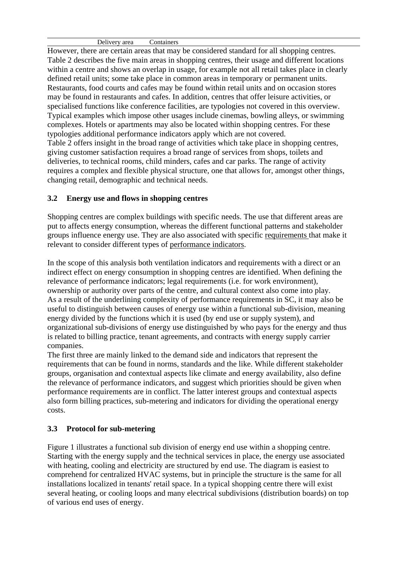Delivery area Containers

However, there are certain areas that may be considered standard for all shopping centres. Table 2 describes the five main areas in shopping centres, their usage and different locations within a centre and shows an overlap in usage, for example not all retail takes place in clearly defined retail units; some take place in common areas in temporary or permanent units. Restaurants, food courts and cafes may be found within retail units and on occasion stores may be found in restaurants and cafes. In addition, centres that offer leisure activities, or specialised functions like conference facilities, are typologies not covered in this overview. Typical examples which impose other usages include cinemas, bowling alleys, or swimming complexes. Hotels or apartments may also be located within shopping centres. For these typologies additional performance indicators apply which are not covered. Table 2 offers insight in the broad range of activities which take place in shopping centres, giving customer satisfaction requires a broad range of services from shops, toilets and deliveries, to technical rooms, child minders, cafes and car parks. The range of activity requires a complex and flexible physical structure, one that allows for, amongst other things, changing retail, demographic and technical needs.

# **3.2 Energy use and flows in shopping centres**

Shopping centres are complex buildings with specific needs. The use that different areas are put to affects energy consumption, whereas the different functional patterns and stakeholder groups influence energy use. They are also associated with specific requirements that make it relevant to consider different types of performance indicators.

In the scope of this analysis both ventilation indicators and requirements with a direct or an indirect effect on energy consumption in shopping centres are identified. When defining the relevance of performance indicators; legal requirements (i.e. for work environment), ownership or authority over parts of the centre, and cultural context also come into play. As a result of the underlining complexity of performance requirements in SC, it may also be useful to distinguish between causes of energy use within a functional sub-division, meaning energy divided by the functions which it is used (by end use or supply system), and organizational sub-divisions of energy use distinguished by who pays for the energy and thus is related to billing practice, tenant agreements, and contracts with energy supply carrier companies.

The first three are mainly linked to the demand side and indicators that represent the requirements that can be found in norms, standards and the like. While different stakeholder groups, organisation and contextual aspects like climate and energy availability, also define the relevance of performance indicators, and suggest which priorities should be given when performance requirements are in conflict. The latter interest groups and contextual aspects also form billing practices, sub-metering and indicators for dividing the operational energy costs.

# **3.3 Protocol for sub-metering**

Figure 1 illustrates a functional sub division of energy end use within a shopping centre. Starting with the energy supply and the technical services in place, the energy use associated with heating, cooling and electricity are structured by end use. The diagram is easiest to comprehend for centralized HVAC systems, but in principle the structure is the same for all installations localized in tenants' retail space. In a typical shopping centre there will exist several heating, or cooling loops and many electrical subdivisions (distribution boards) on top of various end uses of energy.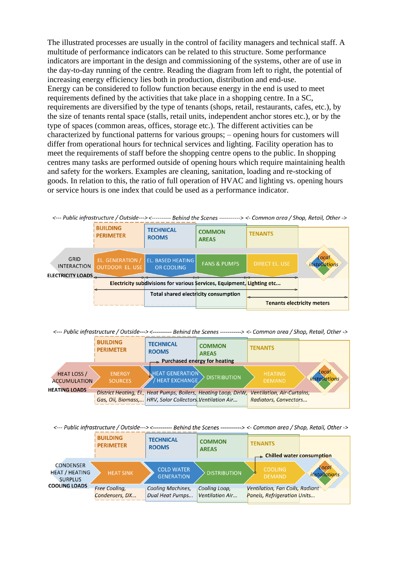The illustrated processes are usually in the control of facility managers and technical staff. A multitude of performance indicators can be related to this structure. Some performance indicators are important in the design and commissioning of the systems, other are of use in the day-to-day running of the centre. Reading the diagram from left to right, the potential of increasing energy efficiency lies both in production, distribution and end-use. Energy can be considered to follow function because energy in the end is used to meet requirements defined by the activities that take place in a shopping centre. In a SC, requirements are diversified by the type of tenants (shops, retail, restaurants, cafes, etc.), by the size of tenants rental space (stalls, retail units, independent anchor stores etc.), or by the type of spaces (common areas, offices, storage etc.). The different activities can be characterized by functional patterns for various groups; – opening hours for customers will differ from operational hours for technical services and lighting. Facility operation has to meet the requirements of staff before the shopping centre opens to the public. In shopping centres many tasks are performed outside of opening hours which require maintaining health and safety for the workers. Examples are cleaning, sanitation, loading and re-stocking of goods. In relation to this, the ratio of full operation of HVAC and lighting vs. opening hours or service hours is one index that could be used as a performance indicator.

| <--- Public infrastructure / Outside---> <---------- Behind the Scenes ----------> <- Common area / Shop, Retail, Other -> |                                     |                                               |                               |                                   |                               |  |  |
|----------------------------------------------------------------------------------------------------------------------------|-------------------------------------|-----------------------------------------------|-------------------------------|-----------------------------------|-------------------------------|--|--|
|                                                                                                                            | <b>BUILDING</b><br><b>PERIMETER</b> | <b>TECHNICAL</b><br><b>ROOMS</b>              | <b>COMMON</b><br><b>AREAS</b> | <b>TENANTS</b>                    |                               |  |  |
|                                                                                                                            |                                     |                                               |                               |                                   |                               |  |  |
| GRID<br><b>INTERACTION</b>                                                                                                 | EL. GENERATION /<br>OUTDOOR EL. USE | <b>EL. BASED HEATING</b><br><b>OR COOLING</b> | <b>FANS &amp; PUMPS</b>       | <b>DIRECT EL. USE</b>             | Local<br><i>installations</i> |  |  |
| <b>ELECTRICITY LOADS</b>                                                                                                   |                                     |                                               |                               |                                   |                               |  |  |
| Electricity subdivisions for various Services, Equipment, Lighting etc                                                     |                                     |                                               |                               |                                   |                               |  |  |
|                                                                                                                            |                                     | Total shared electricity consumption          |                               |                                   |                               |  |  |
|                                                                                                                            |                                     |                                               |                               | <b>Tenants electricity meters</b> |                               |  |  |

<--- Public infrastructure / Outside---> <---------- Behind the Scenes ----------> <- Common area / Shop, Retail, Other ->

|                                           | <b>BUILDING</b><br><b>PERIMETER</b> | <b>TECHNICAL</b><br><b>ROOMS</b><br>$\rightarrow$ Purchased energy for heating                                                | <b>COMMON</b><br><b>AREAS</b> | <b>TENANTS</b>                                      |                               |
|-------------------------------------------|-------------------------------------|-------------------------------------------------------------------------------------------------------------------------------|-------------------------------|-----------------------------------------------------|-------------------------------|
| <b>HEAT LOSS</b> /<br><b>ACCUMULATION</b> | <b>ENERGY</b><br><b>SOURCES</b>     | .HEAT GENERATION $\backslash$<br>HEAT EXCHANGE                                                                                | <b>DISTRIBUTION</b>           | <b>HEATING</b><br><b>DEMAND</b>                     | Local<br><i>installations</i> |
| <b>HEATING LOADS</b>                      |                                     | District Heating, El., Heat Pumps, Boilers, Heating Loop, DHW,<br>Gas, Oil, Biomass,   HRV, Solar Collectors. Ventilation Air |                               | Ventilation, Air-Curtains,<br>Radiators, Convectors |                               |

<--- Public infrastructure / Outside---> <---------- Behind the Scenes ----------> <- Common area / Shop, Retail, Other ->

|                                                                                     | <b>BUILDING</b><br><b>PERIMETER</b>    | <b>TECHNICAL</b><br><b>ROOMS</b>            | <b>COMMON</b><br><b>AREAS</b>    | <b>TENANTS</b>                                                                 |                               |  |
|-------------------------------------------------------------------------------------|----------------------------------------|---------------------------------------------|----------------------------------|--------------------------------------------------------------------------------|-------------------------------|--|
| <b>CONDENSER</b><br><b>HEAT / HEATING</b><br><b>SURPLUS</b><br><b>COOLING LOADS</b> | <b>HEAT SINK</b>                       | <b>COLD WATER</b><br><b>GENERATION</b>      | <b>DISTRIBUTION</b>              | <b>Example 15 Chilled water consumption</b><br><b>COOLING</b><br><b>DEMAND</b> | Local<br><i>installations</i> |  |
|                                                                                     | <b>Free Cooling,</b><br>Condensers, DX | <b>Cooling Machines,</b><br>Dual Heat Pumps | Cooling Loop,<br>Ventilation Air | Ventilation, Fan Coils, Radiant<br>Panels, Refrigeration Units                 |                               |  |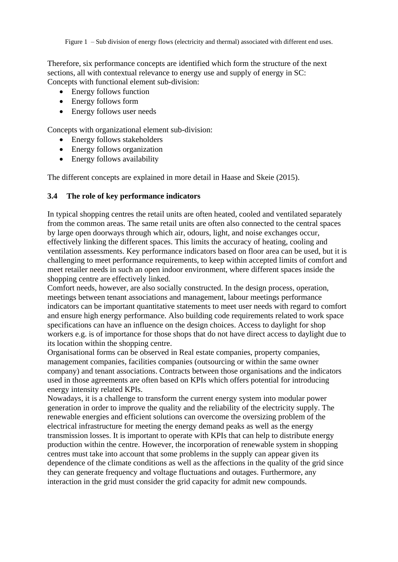Figure 1 – Sub division of energy flows (electricity and thermal) associated with different end uses.

Therefore, six performance concepts are identified which form the structure of the next sections, all with contextual relevance to energy use and supply of energy in SC: Concepts with functional element sub-division:

- Energy follows function
- Energy follows form
- Energy follows user needs

Concepts with organizational element sub-division:

- Energy follows stakeholders
- Energy follows organization
- Energy follows availability

The different concepts are explained in more detail in Haase and Skeie (2015).

#### **3.4 The role of key performance indicators**

In typical shopping centres the retail units are often heated, cooled and ventilated separately from the common areas. The same retail units are often also connected to the central spaces by large open doorways through which air, odours, light, and noise exchanges occur, effectively linking the different spaces. This limits the accuracy of heating, cooling and ventilation assessments. Key performance indicators based on floor area can be used, but it is challenging to meet performance requirements, to keep within accepted limits of comfort and meet retailer needs in such an open indoor environment, where different spaces inside the shopping centre are effectively linked.

Comfort needs, however, are also socially constructed. In the design process, operation, meetings between tenant associations and management, labour meetings performance indicators can be important quantitative statements to meet user needs with regard to comfort and ensure high energy performance. Also building code requirements related to work space specifications can have an influence on the design choices. Access to daylight for shop workers e.g. is of importance for those shops that do not have direct access to daylight due to its location within the shopping centre.

Organisational forms can be observed in Real estate companies, property companies, management companies, facilities companies (outsourcing or within the same owner company) and tenant associations. Contracts between those organisations and the indicators used in those agreements are often based on KPIs which offers potential for introducing energy intensity related KPIs.

Nowadays, it is a challenge to transform the current energy system into modular power generation in order to improve the quality and the reliability of the electricity supply. The renewable energies and efficient solutions can overcome the oversizing problem of the electrical infrastructure for meeting the energy demand peaks as well as the energy transmission losses. It is important to operate with KPIs that can help to distribute energy production within the centre. However, the incorporation of renewable system in shopping centres must take into account that some problems in the supply can appear given its dependence of the climate conditions as well as the affections in the quality of the grid since they can generate frequency and voltage fluctuations and outages. Furthermore, any interaction in the grid must consider the grid capacity for admit new compounds.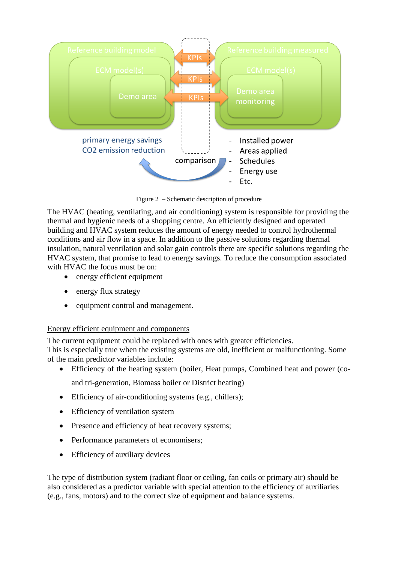

Figure 2 – Schematic description of procedure

The HVAC (heating, ventilating, and air conditioning) system is responsible for providing the thermal and hygienic needs of a shopping centre. An efficiently designed and operated building and HVAC system reduces the amount of energy needed to control hydrothermal conditions and air flow in a space. In addition to the passive solutions regarding thermal insulation, natural ventilation and solar gain controls there are specific solutions regarding the HVAC system, that promise to lead to energy savings. To reduce the consumption associated with HVAC the focus must be on:

- energy efficient equipment
- energy flux strategy
- equipment control and management.

#### Energy efficient equipment and components

The current equipment could be replaced with ones with greater efficiencies.

This is especially true when the existing systems are old, inefficient or malfunctioning. Some of the main predictor variables include:

- Efficiency of the heating system (boiler, Heat pumps, Combined heat and power (coand tri-generation, Biomass boiler or District heating)
- Efficiency of air-conditioning systems (e.g., chillers);
- Efficiency of ventilation system
- Presence and efficiency of heat recovery systems;
- Performance parameters of economisers;
- Efficiency of auxiliary devices

The type of distribution system (radiant floor or ceiling, fan coils or primary air) should be also considered as a predictor variable with special attention to the efficiency of auxiliaries (e.g., fans, motors) and to the correct size of equipment and balance systems.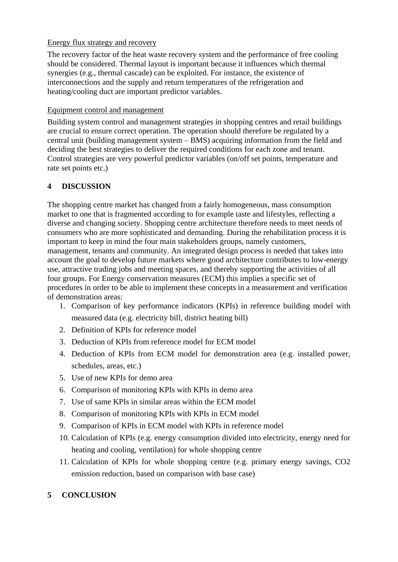### Energy flux strategy and recovery

The recovery factor of the heat waste recovery system and the performance of free cooling should be considered. Thermal layout is important because it influences which thermal synergies (e.g., thermal cascade) can be exploited. For instance, the existence of interconnections and the supply and return temperatures of the refrigeration and heating/cooling duct are important predictor variables.

# Equipment control and management

Building system control and management strategies in shopping centres and retail buildings are crucial to ensure correct operation. The operation should therefore be regulated by a central unit (building management system – BMS) acquiring information from the field and deciding the best strategies to deliver the required conditions for each zone and tenant. Control strategies are very powerful predictor variables (on/off set points, temperature and rate set points etc.)

# **4 DISCUSSION**

The shopping centre market has changed from a fairly homogeneous, mass consumption market to one that is fragmented according to for example taste and lifestyles, reflecting a diverse and changing society. Shopping centre architecture therefore needs to meet needs of consumers who are more sophisticated and demanding. During the rehabilitation process it is important to keep in mind the four main stakeholders groups, namely customers, management, tenants and community. An integrated design process is needed that takes into account the goal to develop future markets where good architecture contributes to low-energy use, attractive trading jobs and meeting spaces, and thereby supporting the activities of all four groups. For Energy conservation measures (ECM) this implies a specific set of procedures in order to be able to implement these concepts in a measurement and verification of demonstration areas:

- 1. Comparison of key performance indicators (KPIs) in reference building model with measured data (e.g. electricity bill, district heating bill)
- 2. Definition of KPIs for reference model
- 3. Deduction of KPIs from reference model for ECM model
- 4. Deduction of KPIs from ECM model for demonstration area (e.g. installed power, schedules, areas, etc.)
- 5. Use of new KPIs for demo area
- 6. Comparison of monitoring KPIs with KPIs in demo area
- 7. Use of same KPIs in similar areas within the ECM model
- 8. Comparison of monitoring KPIs with KPIs in ECM model
- 9. Comparison of KPIs in ECM model with KPIs in reference model
- 10. Calculation of KPIs (e.g. energy consumption divided into electricity, energy need for heating and cooling, ventilation) for whole shopping centre
- 11. Calculation of KPIs for whole shopping centre (e.g. primary energy savings, CO2 emission reduction, based on comparison with base case)

# **5 CONCLUSION**